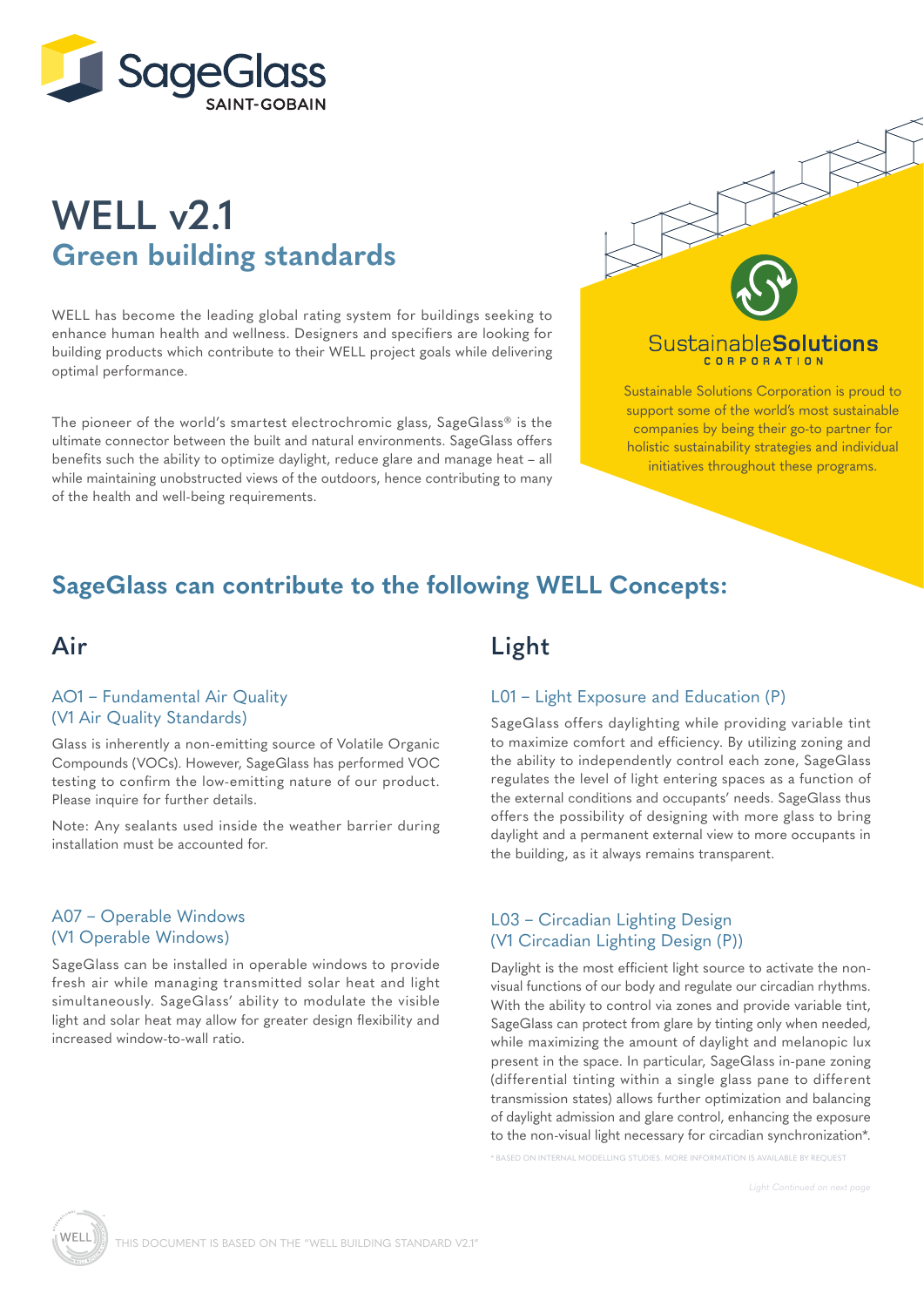

# **WELL v2.1 Green building standards**

WELL has become the leading global rating system for buildings seeking to enhance human health and wellness. Designers and specifiers are looking for building products which contribute to their WELL project goals while delivering optimal performance.

The pioneer of the world's smartest electrochromic glass, SageGlass® is the ultimate connector between the built and natural environments. SageGlass offers benefits such the ability to optimize daylight, reduce glare and manage heat – all while maintaining unobstructed views of the outdoors, hence contributing to many of the health and well-being requirements.



#### Sustainable**Solutions CORPORATION**

Sustainable Solutions Corporation is proud to support some of the world's most sustainable companies by being their go-to partner for holistic sustainability strategies and individual initiatives throughout these programs.

### **SageGlass can contribute to the following WELL Concepts:**

### **Air**

#### AO1 – Fundamental Air Quality (V1 Air Quality Standards)

Glass is inherently a non-emitting source of Volatile Organic Compounds (VOCs). However, SageGlass has performed VOC testing to confirm the low-emitting nature of our product. Please inquire for further details.

Note: Any sealants used inside the weather barrier during installation must be accounted for.

#### A07 – Operable Windows (V1 Operable Windows)

SageGlass can be installed in operable windows to provide fresh air while managing transmitted solar heat and light simultaneously. SageGlass' ability to modulate the visible light and solar heat may allow for greater design flexibility and increased window-to-wall ratio.

### **Light**

#### L01 – Light Exposure and Education (P)

SageGlass offers daylighting while providing variable tint to maximize comfort and efficiency. By utilizing zoning and the ability to independently control each zone, SageGlass regulates the level of light entering spaces as a function of the external conditions and occupants' needs. SageGlass thus offers the possibility of designing with more glass to bring daylight and a permanent external view to more occupants in the building, as it always remains transparent.

#### L03 – Circadian Lighting Design (V1 Circadian Lighting Design (P))

Daylight is the most efficient light source to activate the nonvisual functions of our body and regulate our circadian rhythms. With the ability to control via zones and provide variable tint, SageGlass can protect from glare by tinting only when needed, while maximizing the amount of daylight and melanopic lux present in the space. In particular, SageGlass in-pane zoning (differential tinting within a single glass pane to different transmission states) allows further optimization and balancing of daylight admission and glare control, enhancing the exposure to the non-visual light necessary for circadian synchronization\*.

\* BASED ON INTERNAL MODELLING STUDIES. MORE INFORMATION IS AVAILABLE BY REQUEST

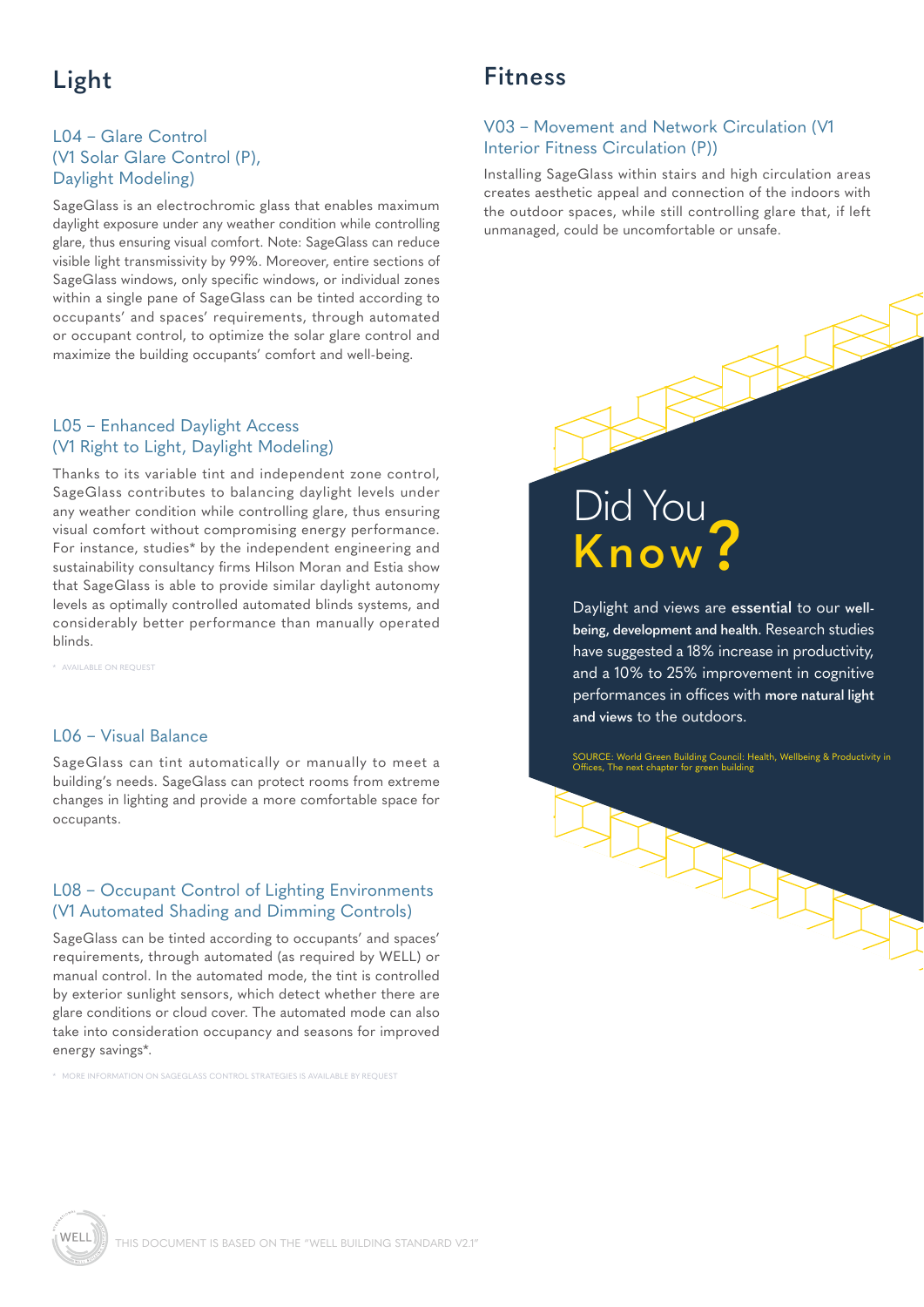## **Light**

#### L04 – Glare Control (V1 Solar Glare Control (P), Daylight Modeling)

SageGlass is an electrochromic glass that enables maximum daylight exposure under any weather condition while controlling glare, thus ensuring visual comfort. Note: SageGlass can reduce visible light transmissivity by 99%. Moreover, entire sections of SageGlass windows, only specific windows, or individual zones within a single pane of SageGlass can be tinted according to occupants' and spaces' requirements, through automated or occupant control, to optimize the solar glare control and maximize the building occupants' comfort and well-being.

#### L05 – Enhanced Daylight Access (V1 Right to Light, Daylight Modeling)

Thanks to its variable tint and independent zone control, SageGlass contributes to balancing daylight levels under any weather condition while controlling glare, thus ensuring visual comfort without compromising energy performance. For instance, studies\* by the independent engineering and sustainability consultancy firms Hilson Moran and Estia show that SageGlass is able to provide similar daylight autonomy levels as optimally controlled automated blinds systems, and considerably better performance than manually operated blinds.

\* AVAILABLE ON REQUEST

#### L06 – Visual Balance

SageGlass can tint automatically or manually to meet a building's needs. SageGlass can protect rooms from extreme changes in lighting and provide a more comfortable space for occupants.

#### L08 – Occupant Control of Lighting Environments (V1 Automated Shading and Dimming Controls)

SageGlass can be tinted according to occupants' and spaces' requirements, through automated (as required by WELL) or manual control. In the automated mode, the tint is controlled by exterior sunlight sensors, which detect whether there are glare conditions or cloud cover. The automated mode can also take into consideration occupancy and seasons for improved energy savings\*.

\* MORE INFORMATION ON SAGEGLASS CONTROL STRATEGIES IS AVAILABLE BY REQUEST

### **Fitness**

#### V03 – Movement and Network Circulation (V1 Interior Fitness Circulation (P))

Installing SageGlass within stairs and high circulation areas creates aesthetic appeal and connection of the indoors with the outdoor spaces, while still controlling glare that, if left unmanaged, could be uncomfortable or unsafe.



Daylight and views are **essential** to our **wellbeing, development and health**. Research studies have suggested a 18% increase in productivity, and a 10% to 25% improvement in cognitive performances in offices with **more natural light and views** to the outdoors.

SOURCE: World Green Building Council: Health, Wellbeing & Productivity in Offices, The next chapter for green building

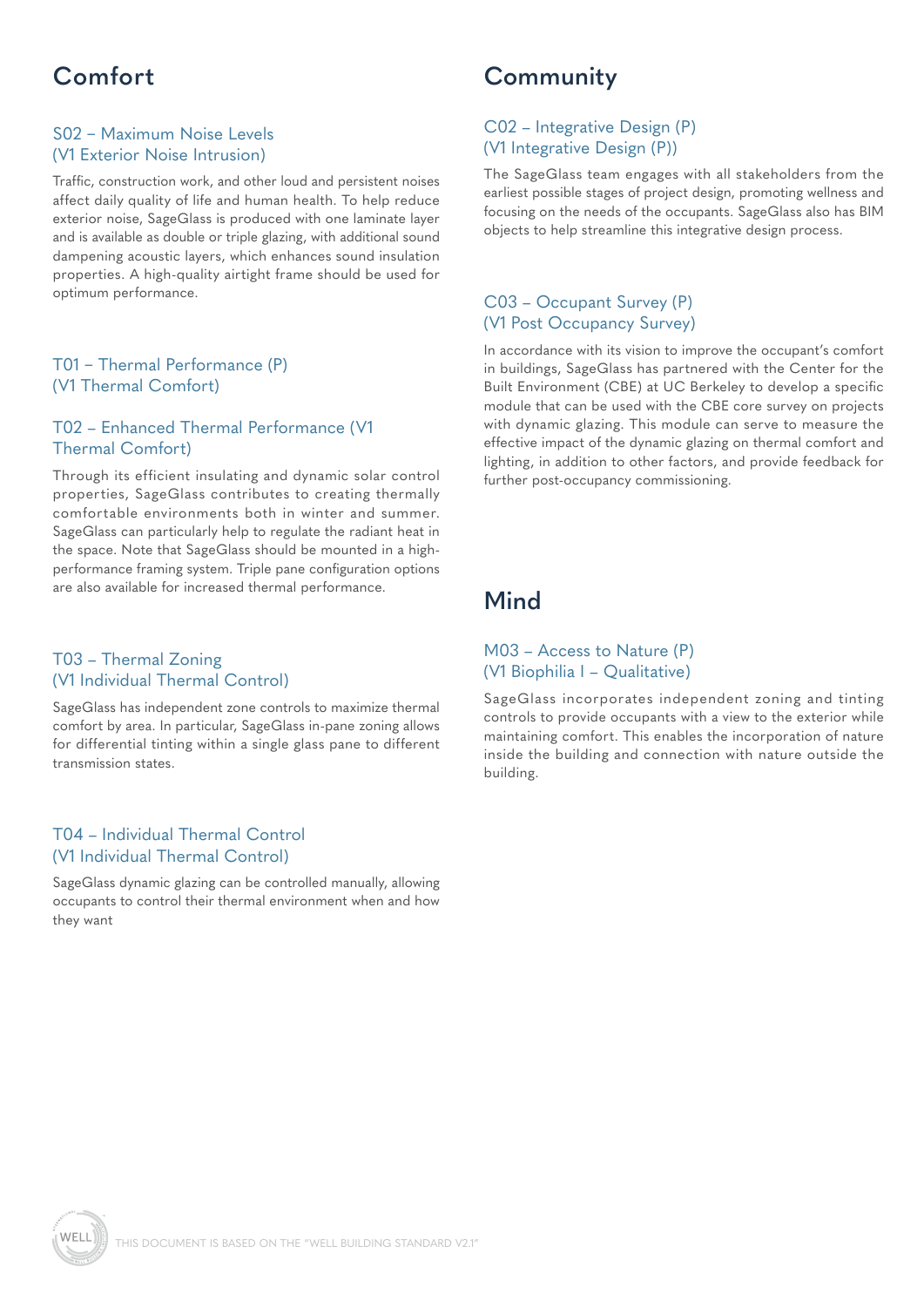## **Comfort**

#### S02 – Maximum Noise Levels (V1 Exterior Noise Intrusion)

Traffic, construction work, and other loud and persistent noises affect daily quality of life and human health. To help reduce exterior noise, SageGlass is produced with one laminate layer and is available as double or triple glazing, with additional sound dampening acoustic layers, which enhances sound insulation properties. A high-quality airtight frame should be used for optimum performance.

#### T01 – Thermal Performance (P) (V1 Thermal Comfort)

#### T02 – Enhanced Thermal Performance (V1 Thermal Comfort)

Through its efficient insulating and dynamic solar control properties, SageGlass contributes to creating thermally comfortable environments both in winter and summer. SageGlass can particularly help to regulate the radiant heat in the space. Note that SageGlass should be mounted in a highperformance framing system. Triple pane configuration options are also available for increased thermal performance.

#### T03 – Thermal Zoning (V1 Individual Thermal Control)

SageGlass has independent zone controls to maximize thermal comfort by area. In particular, SageGlass in-pane zoning allows for differential tinting within a single glass pane to different transmission states.

#### T04 – Individual Thermal Control (V1 Individual Thermal Control)

SageGlass dynamic glazing can be controlled manually, allowing occupants to control their thermal environment when and how they want

## **Community**

#### C02 – Integrative Design (P) (V1 Integrative Design (P))

The SageGlass team engages with all stakeholders from the earliest possible stages of project design, promoting wellness and focusing on the needs of the occupants. SageGlass also has BIM objects to help streamline this integrative design process.

#### C03 – Occupant Survey (P) (V1 Post Occupancy Survey)

In accordance with its vision to improve the occupant's comfort in buildings, SageGlass has partnered with the Center for the Built Environment (CBE) at UC Berkeley to develop a specific module that can be used with the CBE core survey on projects with dynamic glazing. This module can serve to measure the effective impact of the dynamic glazing on thermal comfort and lighting, in addition to other factors, and provide feedback for further post-occupancy commissioning.

## **Mind**

#### M03 – Access to Nature (P) (V1 Biophilia I – Qualitative)

SageGlass incorporates independent zoning and tinting controls to provide occupants with a view to the exterior while maintaining comfort. This enables the incorporation of nature inside the building and connection with nature outside the building.